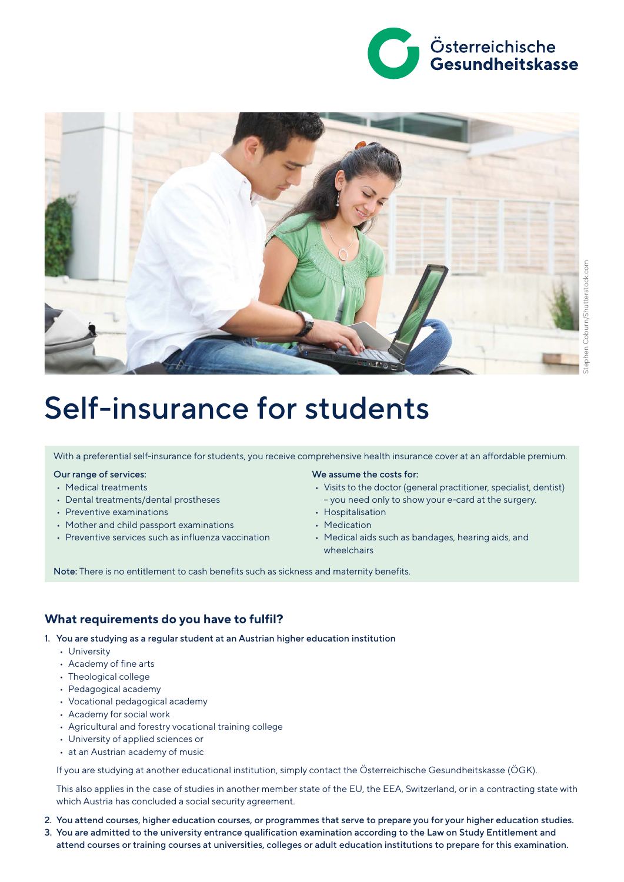



# Self-insurance for students

With a preferential self-insurance for students, you receive comprehensive health insurance cover at an affordable premium.

## Our range of services:

- Medical treatments
- Dental treatments/dental prostheses
- Preventive examinations
- Mother and child passport examinations
- Preventive services such as influenza vaccination

We assume the costs for:

- Visits to the doctor (general practitioner, specialist, dentist) – you need only to show your e-card at the surgery.
- Hospitalisation
- Medication
- Medical aids such as bandages, hearing aids, and wheelchairs

Note: There is no entitlement to cash benefits such as sickness and maternity benefits.

#### **What requirements do you have to fulfil?**

1. You are studying as a regular student at an Austrian higher education institution

- University
- Academy of fine arts
- Theological college
- Pedagogical academy
- Vocational pedagogical academy
- Academy for social work
- Agricultural and forestry vocational training college
- University of applied sciences or
- at an Austrian academy of music

If you are studying at another educational institution, simply contact the Österreichische Gesundheitskasse (ÖGK).

This also applies in the case of studies in another member state of the EU, the EEA, Switzerland, or in a contracting state with which Austria has concluded a social security agreement.

- 2. You attend courses, higher education courses, or programmes that serve to prepare you for your higher education studies.
- 3. You are admitted to the university entrance qualification examination according to the Law on Study Entitlement and attend courses or training courses at universities, colleges or adult education institutions to prepare for this examination.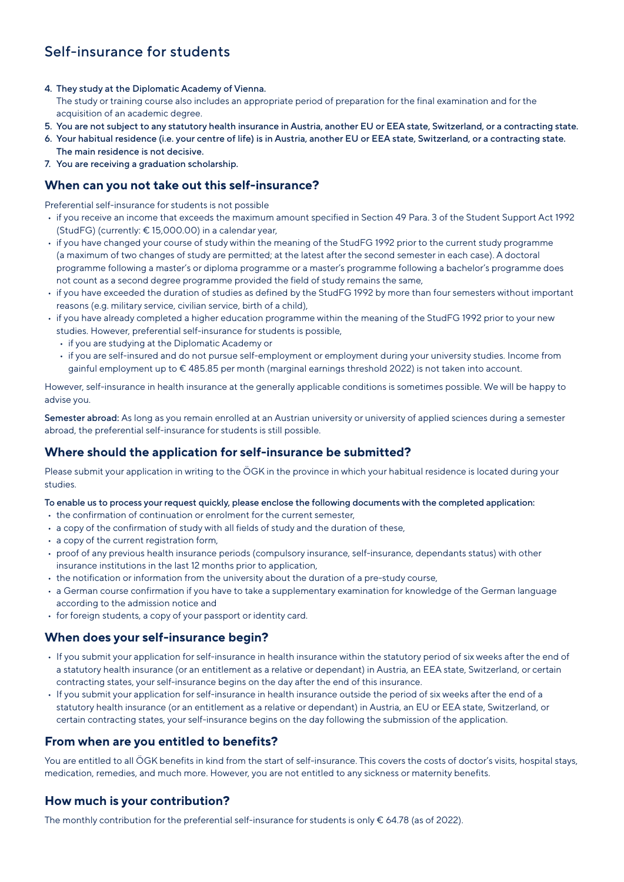# Self-insurance for students

- 4. They study at the Diplomatic Academy of Vienna.
- The study or training course also includes an appropriate period of preparation for the final examination and for the acquisition of an academic degree.
- 5. You are not subject to any statutory health insurance in Austria, another EU or EEA state, Switzerland, or a contracting state.
- 6. Your habitual residence (i.e. your centre of life) is in Austria, another EU or EEA state, Switzerland, or a contracting state. The main residence is not decisive.
- 7. You are receiving a graduation scholarship.

## **When can you not take out this self-insurance?**

Preferential self-insurance for students is not possible

- if you receive an income that exceeds the maximum amount specified in Section 49 Para. 3 of the Student Support Act 1992 (StudFG) (currently: € 15,000.00) in a calendar year,
- if you have changed your course of study within the meaning of the StudFG 1992 prior to the current study programme (a maximum of two changes of study are permitted; at the latest after the second semester in each case). A doctoral programme following a master's or diploma programme or a master's programme following a bachelor's programme does not count as a second degree programme provided the field of study remains the same,
- if you have exceeded the duration of studies as defined by the StudFG 1992 by more than four semesters without important reasons (e.g. military service, civilian service, birth of a child),
- if you have already completed a higher education programme within the meaning of the StudFG 1992 prior to your new studies. However, preferential self-insurance for students is possible,
	- if you are studying at the Diplomatic Academy or
	- if you are self-insured and do not pursue self-employment or employment during your university studies. Income from gainful employment up to € 485.85 per month (marginal earnings threshold 2022) is not taken into account.

However, self-insurance in health insurance at the generally applicable conditions is sometimes possible. We will be happy to advise you.

Semester abroad: As long as you remain enrolled at an Austrian university or university of applied sciences during a semester abroad, the preferential self-insurance for students is still possible.

## **Where should the application for self-insurance be submitted?**

Please submit your application in writing to the ÖGK in the province in which your habitual residence is located during your studies.

#### To enable us to process your request quickly, please enclose the following documents with the completed application:

- the confirmation of continuation or enrolment for the current semester,
- a copy of the confirmation of study with all fields of study and the duration of these,
- a copy of the current registration form,
- proof of any previous health insurance periods (compulsory insurance, self-insurance, dependants status) with other insurance institutions in the last 12 months prior to application,
- the notification or information from the university about the duration of a pre-study course,
- a German course confirmation if you have to take a supplementary examination for knowledge of the German language according to the admission notice and
- for foreign students, a copy of your passport or identity card.

## **When does your self-insurance begin?**

- If you submit your application for self-insurance in health insurance within the statutory period of six weeks after the end of a statutory health insurance (or an entitlement as a relative or dependant) in Austria, an EEA state, Switzerland, or certain contracting states, your self-insurance begins on the day after the end of this insurance.
- If you submit your application for self-insurance in health insurance outside the period of six weeks after the end of a statutory health insurance (or an entitlement as a relative or dependant) in Austria, an EU or EEA state, Switzerland, or certain contracting states, your self-insurance begins on the day following the submission of the application.

## **From when are you entitled to benefits?**

You are entitled to all ÖGK benefits in kind from the start of self-insurance. This covers the costs of doctor's visits, hospital stays, medication, remedies, and much more. However, you are not entitled to any sickness or maternity benefits.

## **How much is your contribution?**

The monthly contribution for the preferential self-insurance for students is only € 64.78 (as of 2022).